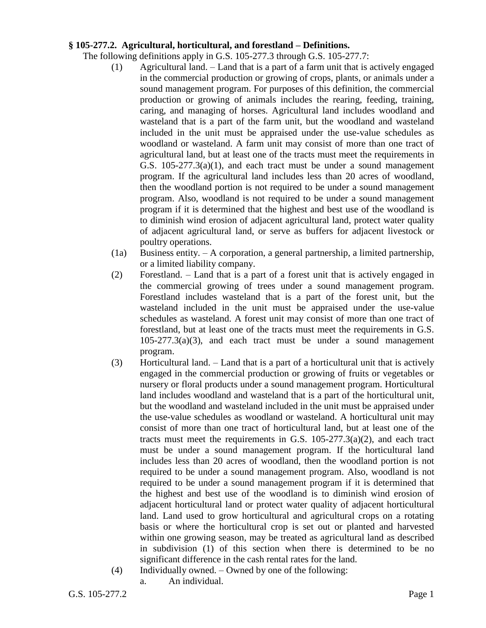## **§ 105-277.2. Agricultural, horticultural, and forestland – Definitions.**

The following definitions apply in G.S. 105-277.3 through G.S. 105-277.7:

- (1) Agricultural land. Land that is a part of a farm unit that is actively engaged in the commercial production or growing of crops, plants, or animals under a sound management program. For purposes of this definition, the commercial production or growing of animals includes the rearing, feeding, training, caring, and managing of horses. Agricultural land includes woodland and wasteland that is a part of the farm unit, but the woodland and wasteland included in the unit must be appraised under the use-value schedules as woodland or wasteland. A farm unit may consist of more than one tract of agricultural land, but at least one of the tracts must meet the requirements in G.S. 105-277.3(a)(1), and each tract must be under a sound management program. If the agricultural land includes less than 20 acres of woodland, then the woodland portion is not required to be under a sound management program. Also, woodland is not required to be under a sound management program if it is determined that the highest and best use of the woodland is to diminish wind erosion of adjacent agricultural land, protect water quality of adjacent agricultural land, or serve as buffers for adjacent livestock or poultry operations.
- (1a) Business entity. A corporation, a general partnership, a limited partnership, or a limited liability company.
- (2) Forestland. Land that is a part of a forest unit that is actively engaged in the commercial growing of trees under a sound management program. Forestland includes wasteland that is a part of the forest unit, but the wasteland included in the unit must be appraised under the use-value schedules as wasteland. A forest unit may consist of more than one tract of forestland, but at least one of the tracts must meet the requirements in G.S. 105-277.3(a)(3), and each tract must be under a sound management program.
- (3) Horticultural land. Land that is a part of a horticultural unit that is actively engaged in the commercial production or growing of fruits or vegetables or nursery or floral products under a sound management program. Horticultural land includes woodland and wasteland that is a part of the horticultural unit, but the woodland and wasteland included in the unit must be appraised under the use-value schedules as woodland or wasteland. A horticultural unit may consist of more than one tract of horticultural land, but at least one of the tracts must meet the requirements in G.S.  $105-277.3(a)(2)$ , and each tract must be under a sound management program. If the horticultural land includes less than 20 acres of woodland, then the woodland portion is not required to be under a sound management program. Also, woodland is not required to be under a sound management program if it is determined that the highest and best use of the woodland is to diminish wind erosion of adjacent horticultural land or protect water quality of adjacent horticultural land. Land used to grow horticultural and agricultural crops on a rotating basis or where the horticultural crop is set out or planted and harvested within one growing season, may be treated as agricultural land as described in subdivision (1) of this section when there is determined to be no significant difference in the cash rental rates for the land.
- (4) Individually owned. Owned by one of the following:
	- a. An individual.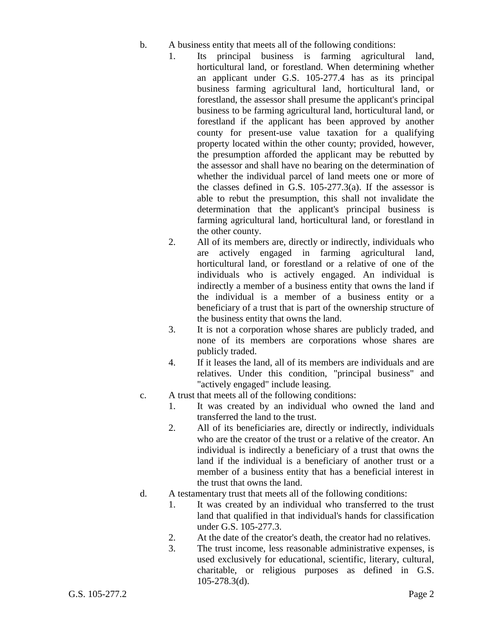- b. A business entity that meets all of the following conditions:
	- 1. Its principal business is farming agricultural land, horticultural land, or forestland. When determining whether an applicant under G.S. 105-277.4 has as its principal business farming agricultural land, horticultural land, or forestland, the assessor shall presume the applicant's principal business to be farming agricultural land, horticultural land, or forestland if the applicant has been approved by another county for present-use value taxation for a qualifying property located within the other county; provided, however, the presumption afforded the applicant may be rebutted by the assessor and shall have no bearing on the determination of whether the individual parcel of land meets one or more of the classes defined in G.S. 105-277.3(a). If the assessor is able to rebut the presumption, this shall not invalidate the determination that the applicant's principal business is farming agricultural land, horticultural land, or forestland in the other county.
	- 2. All of its members are, directly or indirectly, individuals who are actively engaged in farming agricultural land, horticultural land, or forestland or a relative of one of the individuals who is actively engaged. An individual is indirectly a member of a business entity that owns the land if the individual is a member of a business entity or a beneficiary of a trust that is part of the ownership structure of the business entity that owns the land.
	- 3. It is not a corporation whose shares are publicly traded, and none of its members are corporations whose shares are publicly traded.
	- 4. If it leases the land, all of its members are individuals and are relatives. Under this condition, "principal business" and "actively engaged" include leasing.
- c. A trust that meets all of the following conditions:
	- 1. It was created by an individual who owned the land and transferred the land to the trust.
	- 2. All of its beneficiaries are, directly or indirectly, individuals who are the creator of the trust or a relative of the creator. An individual is indirectly a beneficiary of a trust that owns the land if the individual is a beneficiary of another trust or a member of a business entity that has a beneficial interest in the trust that owns the land.
- d. A testamentary trust that meets all of the following conditions:
	- 1. It was created by an individual who transferred to the trust land that qualified in that individual's hands for classification under G.S. 105-277.3.
	- 2. At the date of the creator's death, the creator had no relatives.
	- 3. The trust income, less reasonable administrative expenses, is used exclusively for educational, scientific, literary, cultural, charitable, or religious purposes as defined in G.S. 105-278.3(d).